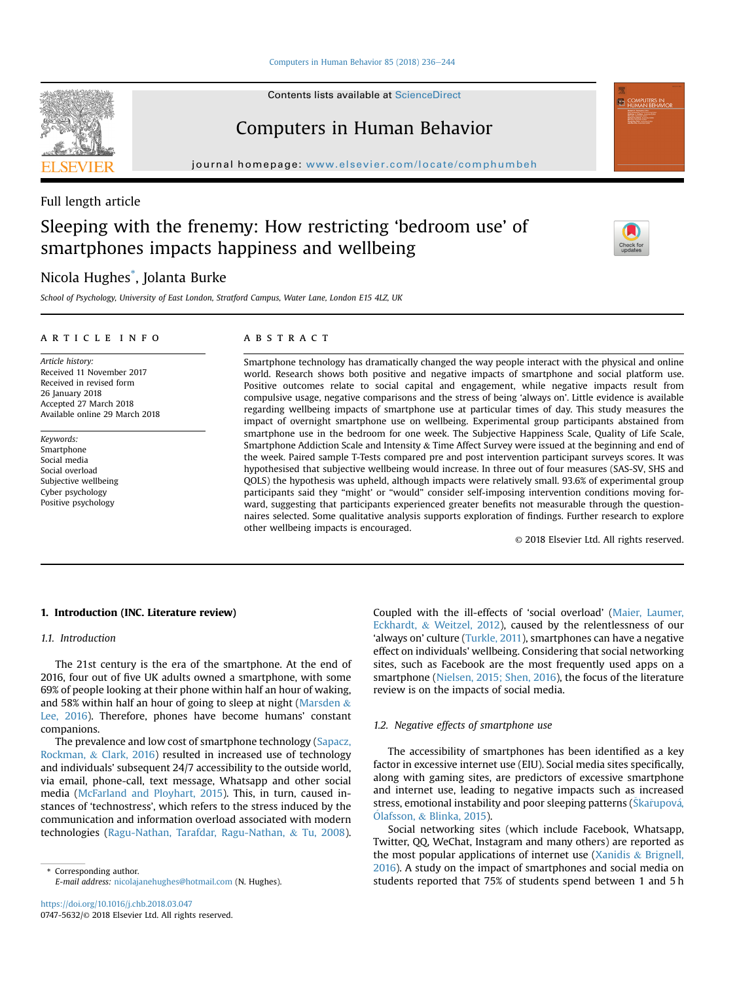[Computers in Human Behavior 85 \(2018\) 236](https://doi.org/10.1016/j.chb.2018.03.047)-[244](https://doi.org/10.1016/j.chb.2018.03.047)

Contents lists available at ScienceDirect

## Computers in Human Behavior

journal homepage: <www.elsevier.com/locate/comphumbeh>

## Full length article

# Sleeping with the frenemy: How restricting 'bedroom use' of smartphones impacts happiness and wellbeing

## Nicola Hughes\* , Jolanta Burke

School of Psychology, University of East London, Stratford Campus, Water Lane, London E15 4LZ, UK

#### article info

Article history: Received 11 November 2017 Received in revised form 26 January 2018 Accepted 27 March 2018 Available online 29 March 2018

Keywords: Smartphone Social media Social overload Subjective wellbeing Cyber psychology Positive psychology

#### **ABSTRACT**

Smartphone technology has dramatically changed the way people interact with the physical and online world. Research shows both positive and negative impacts of smartphone and social platform use. Positive outcomes relate to social capital and engagement, while negative impacts result from compulsive usage, negative comparisons and the stress of being 'always on'. Little evidence is available regarding wellbeing impacts of smartphone use at particular times of day. This study measures the impact of overnight smartphone use on wellbeing. Experimental group participants abstained from smartphone use in the bedroom for one week. The Subjective Happiness Scale, Quality of Life Scale, Smartphone Addiction Scale and Intensity & Time Affect Survey were issued at the beginning and end of the week. Paired sample T-Tests compared pre and post intervention participant surveys scores. It was hypothesised that subjective wellbeing would increase. In three out of four measures (SAS-SV, SHS and QOLS) the hypothesis was upheld, although impacts were relatively small. 93.6% of experimental group participants said they "might' or "would" consider self-imposing intervention conditions moving forward, suggesting that participants experienced greater benefits not measurable through the questionnaires selected. Some qualitative analysis supports exploration of findings. Further research to explore other wellbeing impacts is encouraged.

© 2018 Elsevier Ltd. All rights reserved.

## 1. Introduction (INC. Literature review)

#### 1.1. Introduction

The 21st century is the era of the smartphone. At the end of 2016, four out of five UK adults owned a smartphone, with some 69% of people looking at their phone within half an hour of waking, and 58% within half an hour of going to sleep at night ([Marsden](#page-7-0)  $\&$ [Lee, 2016\)](#page-7-0). Therefore, phones have become humans' constant companions.

The prevalence and low cost of smartphone technology [\(Sapacz,](#page-7-0) [Rockman,](#page-7-0) & [Clark, 2016](#page-7-0)) resulted in increased use of technology and individuals' subsequent 24/7 accessibility to the outside world, via email, phone-call, text message, Whatsapp and other social media [\(McFarland and Ployhart, 2015](#page-7-0)). This, in turn, caused instances of 'technostress', which refers to the stress induced by the communication and information overload associated with modern technologies [\(Ragu-Nathan, Tarafdar, Ragu-Nathan,](#page-7-0) & [Tu, 2008\)](#page-7-0).

\* Corresponding author. E-mail address: [nicolajanehughes@hotmail.com](mailto:nicolajanehughes@hotmail.com) (N. Hughes). Coupled with the ill-effects of 'social overload' [\(Maier, Laumer,](#page-7-0) [Eckhardt,](#page-7-0) & [Weitzel, 2012](#page-7-0)), caused by the relentlessness of our 'always on' culture [\(Turkle, 2011\)](#page-8-0), smartphones can have a negative effect on individuals' wellbeing. Considering that social networking sites, such as Facebook are the most frequently used apps on a smartphone ([Nielsen, 2015; Shen, 2016\)](#page-7-0), the focus of the literature review is on the impacts of social media.

#### 1.2. Negative effects of smartphone use

The accessibility of smartphones has been identified as a key factor in excessive internet use (EIU). Social media sites specifically, along with gaming sites, are predictors of excessive smartphone and internet use, leading to negative impacts such as increased stress, emotional instability and poor sleeping patterns (Škařupová, O[lafsson,](#page-7-0) & [Blinka, 2015](#page-7-0)).

Social networking sites (which include Facebook, Whatsapp, Twitter, QQ, WeChat, Instagram and many others) are reported as the most popular applications of internet use [\(Xanidis](#page-8-0)  $\&$  [Brignell,](#page-8-0) [2016\)](#page-8-0). A study on the impact of smartphones and social media on students reported that 75% of students spend between 1 and 5 h



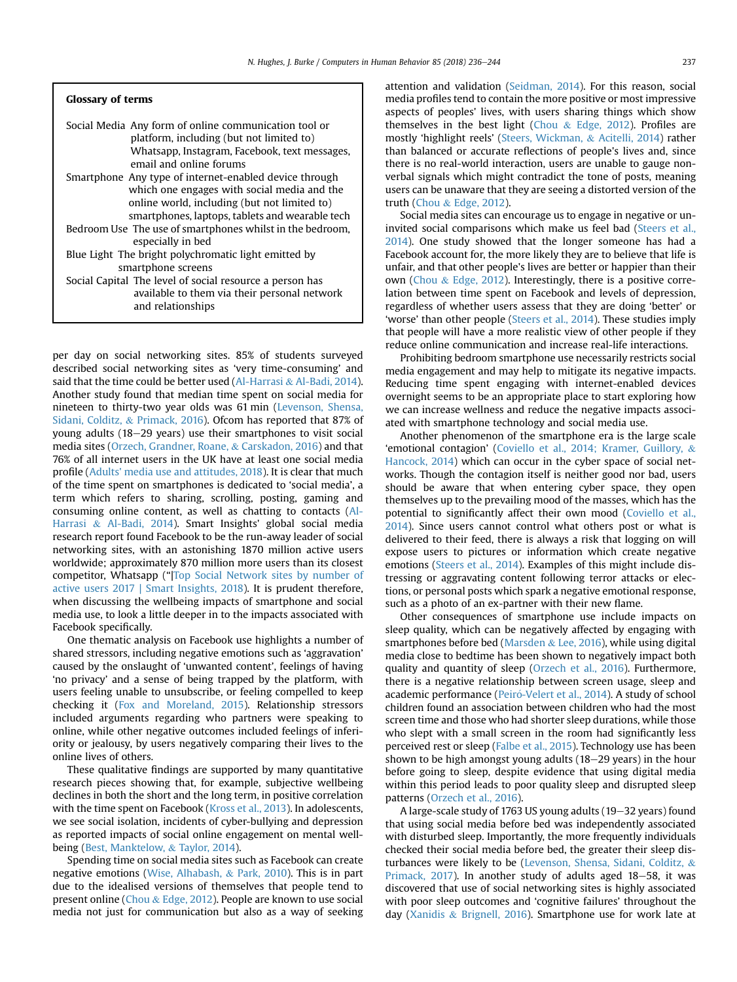#### Glossary of terms

| Social Media Any form of online communication tool or     |
|-----------------------------------------------------------|
| platform, including (but not limited to)                  |
| Whatsapp, Instagram, Facebook, text messages,             |
| email and online forums                                   |
| Smartphone Any type of internet-enabled device through    |
| which one engages with social media and the               |
| online world, including (but not limited to)              |
| smartphones, laptops, tablets and wearable tech           |
| Bedroom Use The use of smartphones whilst in the bedroom, |
| especially in bed                                         |
| Blue Light The bright polychromatic light emitted by      |
| smartphone screens                                        |
| Social Capital The level of social resource a person has  |
| available to them via their personal network              |
| and relationships                                         |
|                                                           |

per day on social networking sites. 85% of students surveyed described social networking sites as 'very time-consuming' and said that the time could be better used ([Al-Harrasi](#page-7-0) & [Al-Badi, 2014\)](#page-7-0). Another study found that median time spent on social media for nineteen to thirty-two year olds was 61 min [\(Levenson, Shensa,](#page-7-0) [Sidani, Colditz,](#page-7-0) & [Primack, 2016](#page-7-0)). Ofcom has reported that 87% of young adults (18-29 years) use their smartphones to visit social media sites [\(Orzech, Grandner, Roane,](#page-7-0) & [Carskadon, 2016](#page-7-0)) and that 76% of all internet users in the UK have at least one social media profile [\(Adults' media use and attitudes, 2018](#page-7-0)). It is clear that much of the time spent on smartphones is dedicated to 'social media', a term which refers to sharing, scrolling, posting, gaming and consuming online content, as well as chatting to contacts [\(Al-](#page-7-0)[Harrasi](#page-7-0) & [Al-Badi, 2014](#page-7-0)). Smart Insights' global social media research report found Facebook to be the run-away leader of social networking sites, with an astonishing 1870 million active users worldwide; approximately 870 million more users than its closest competitor, Whatsapp ("[|Top Social Network sites by number of](#page-8-0) [active users 2017 | Smart Insights, 2018\)](#page-8-0). It is prudent therefore, when discussing the wellbeing impacts of smartphone and social media use, to look a little deeper in to the impacts associated with Facebook specifically.

One thematic analysis on Facebook use highlights a number of shared stressors, including negative emotions such as 'aggravation' caused by the onslaught of 'unwanted content', feelings of having 'no privacy' and a sense of being trapped by the platform, with users feeling unable to unsubscribe, or feeling compelled to keep checking it ([Fox and Moreland, 2015](#page-7-0)). Relationship stressors included arguments regarding who partners were speaking to online, while other negative outcomes included feelings of inferiority or jealousy, by users negatively comparing their lives to the online lives of others.

These qualitative findings are supported by many quantitative research pieces showing that, for example, subjective wellbeing declines in both the short and the long term, in positive correlation with the time spent on Facebook [\(Kross et al., 2013\)](#page-7-0). In adolescents, we see social isolation, incidents of cyber-bullying and depression as reported impacts of social online engagement on mental wellbeing ([Best, Manktelow,](#page-7-0) & [Taylor, 2014](#page-7-0)).

Spending time on social media sites such as Facebook can create negative emotions ([Wise, Alhabash,](#page-8-0) & [Park, 2010\)](#page-8-0). This is in part due to the idealised versions of themselves that people tend to present online ([Chou](#page-7-0) & [Edge, 2012\)](#page-7-0). People are known to use social media not just for communication but also as a way of seeking attention and validation ([Seidman, 2014\)](#page-7-0). For this reason, social media profiles tend to contain the more positive or most impressive aspects of peoples' lives, with users sharing things which show themselves in the best light ([Chou](#page-7-0) & [Edge, 2012](#page-7-0)). Profiles are mostly 'highlight reels' ([Steers, Wickman,](#page-7-0) & [Acitelli, 2014](#page-7-0)) rather than balanced or accurate reflections of people's lives and, since there is no real-world interaction, users are unable to gauge nonverbal signals which might contradict the tone of posts, meaning users can be unaware that they are seeing a distorted version of the truth [\(Chou](#page-7-0) & [Edge, 2012](#page-7-0)).

Social media sites can encourage us to engage in negative or uninvited social comparisons which make us feel bad ([Steers et al.,](#page-7-0) [2014\)](#page-7-0). One study showed that the longer someone has had a Facebook account for, the more likely they are to believe that life is unfair, and that other people's lives are better or happier than their own [\(Chou](#page-7-0) & [Edge, 2012\)](#page-7-0). Interestingly, there is a positive correlation between time spent on Facebook and levels of depression, regardless of whether users assess that they are doing 'better' or 'worse' than other people [\(Steers et al., 2014\)](#page-7-0). These studies imply that people will have a more realistic view of other people if they reduce online communication and increase real-life interactions.

Prohibiting bedroom smartphone use necessarily restricts social media engagement and may help to mitigate its negative impacts. Reducing time spent engaging with internet-enabled devices overnight seems to be an appropriate place to start exploring how we can increase wellness and reduce the negative impacts associated with smartphone technology and social media use.

Another phenomenon of the smartphone era is the large scale 'emotional contagion' ([Coviello et al., 2014; Kramer, Guillory,](#page-7-0) & [Hancock, 2014\)](#page-7-0) which can occur in the cyber space of social networks. Though the contagion itself is neither good nor bad, users should be aware that when entering cyber space, they open themselves up to the prevailing mood of the masses, which has the potential to significantly affect their own mood ([Coviello et al.,](#page-7-0) [2014\)](#page-7-0). Since users cannot control what others post or what is delivered to their feed, there is always a risk that logging on will expose users to pictures or information which create negative emotions [\(Steers et al., 2014](#page-7-0)). Examples of this might include distressing or aggravating content following terror attacks or elections, or personal posts which spark a negative emotional response, such as a photo of an ex-partner with their new flame.

Other consequences of smartphone use include impacts on sleep quality, which can be negatively affected by engaging with smartphones before bed ([Marsden](#page-7-0) & [Lee, 2016](#page-7-0)), while using digital media close to bedtime has been shown to negatively impact both quality and quantity of sleep [\(Orzech et al., 2016](#page-7-0)). Furthermore, there is a negative relationship between screen usage, sleep and academic performance (Peiró-Velert et al., 2014). A study of school children found an association between children who had the most screen time and those who had shorter sleep durations, while those who slept with a small screen in the room had significantly less perceived rest or sleep ([Falbe et al., 2015\)](#page-7-0). Technology use has been shown to be high amongst young adults  $(18-29 \text{ years})$  in the hour before going to sleep, despite evidence that using digital media within this period leads to poor quality sleep and disrupted sleep patterns [\(Orzech et al., 2016](#page-7-0)).

A large-scale study of 1763 US young adults (19–32 years) found that using social media before bed was independently associated with disturbed sleep. Importantly, the more frequently individuals checked their social media before bed, the greater their sleep disturbances were likely to be [\(Levenson, Shensa, Sidani, Colditz,](#page-7-0) & [Primack, 2017](#page-7-0)). In another study of adults aged 18-58, it was discovered that use of social networking sites is highly associated with poor sleep outcomes and 'cognitive failures' throughout the day ([Xanidis](#page-8-0) & [Brignell, 2016](#page-8-0)). Smartphone use for work late at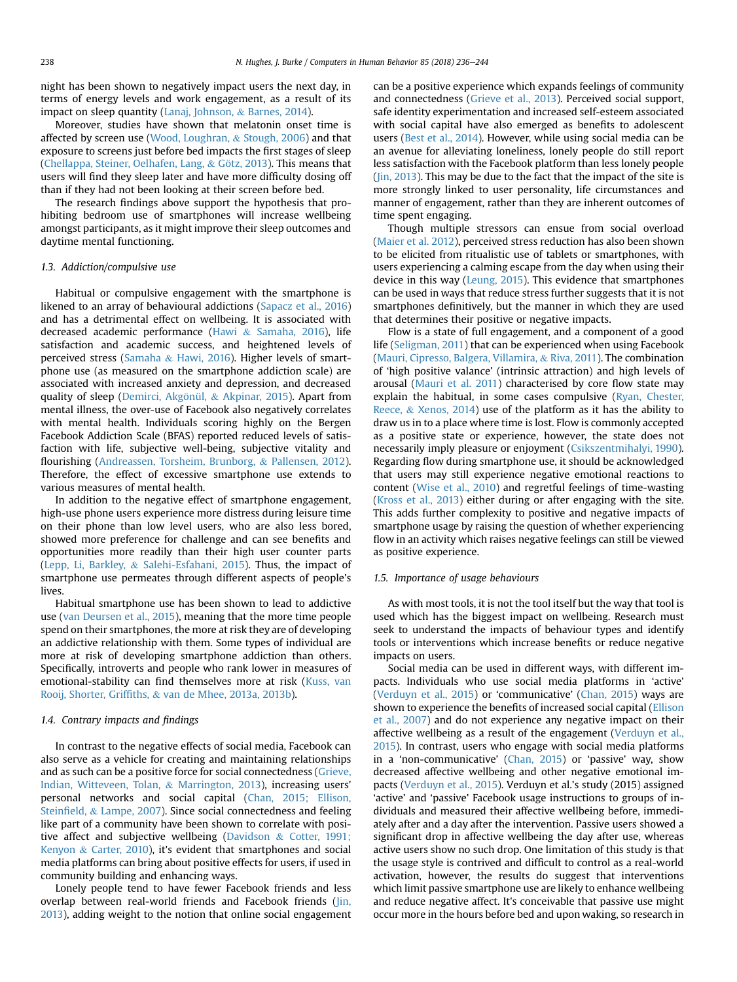night has been shown to negatively impact users the next day, in terms of energy levels and work engagement, as a result of its impact on sleep quantity ([Lanaj, Johnson,](#page-7-0) & [Barnes, 2014\)](#page-7-0).

Moreover, studies have shown that melatonin onset time is affected by screen use ([Wood, Loughran,](#page-8-0) & [Stough, 2006\)](#page-8-0) and that exposure to screens just before bed impacts the first stages of sleep ([Chellappa, Steiner, Oelhafen, Lang,](#page-7-0)  $&$  [G](#page-7-0)ö[tz, 2013](#page-7-0)). This means that users will find they sleep later and have more difficulty dosing off than if they had not been looking at their screen before bed.

The research findings above support the hypothesis that prohibiting bedroom use of smartphones will increase wellbeing amongst participants, as it might improve their sleep outcomes and daytime mental functioning.

#### 1.3. Addiction/compulsive use

Habitual or compulsive engagement with the smartphone is likened to an array of behavioural addictions ([Sapacz et al., 2016\)](#page-7-0) and has a detrimental effect on wellbeing. It is associated with decreased academic performance ([Hawi](#page-7-0) & [Samaha, 2016](#page-7-0)), life satisfaction and academic success, and heightened levels of perceived stress ([Samaha](#page-7-0) & [Hawi, 2016](#page-7-0)). Higher levels of smartphone use (as measured on the smartphone addiction scale) are associated with increased anxiety and depression, and decreased quality of sleep ([Demirci, Akg](#page-7-0)ö[nül,](#page-7-0) & [Akpinar, 2015](#page-7-0)). Apart from mental illness, the over-use of Facebook also negatively correlates with mental health. Individuals scoring highly on the Bergen Facebook Addiction Scale (BFAS) reported reduced levels of satisfaction with life, subjective well-being, subjective vitality and flourishing [\(Andreassen, Torsheim, Brunborg,](#page-7-0) & [Pallensen, 2012\)](#page-7-0). Therefore, the effect of excessive smartphone use extends to various measures of mental health.

In addition to the negative effect of smartphone engagement, high-use phone users experience more distress during leisure time on their phone than low level users, who are also less bored, showed more preference for challenge and can see benefits and opportunities more readily than their high user counter parts ([Lepp, Li, Barkley,](#page-7-0) & [Salehi-Esfahani, 2015\)](#page-7-0). Thus, the impact of smartphone use permeates through different aspects of people's lives.

Habitual smartphone use has been shown to lead to addictive use [\(van Deursen et al., 2015](#page-7-0)), meaning that the more time people spend on their smartphones, the more at risk they are of developing an addictive relationship with them. Some types of individual are more at risk of developing smartphone addiction than others. Specifically, introverts and people who rank lower in measures of emotional-stability can find themselves more at risk [\(Kuss, van](#page-7-0) [Rooij, Shorter, Grif](#page-7-0)fiths, & [van de Mhee, 2013a, 2013b](#page-7-0)).

#### 1.4. Contrary impacts and findings

In contrast to the negative effects of social media, Facebook can also serve as a vehicle for creating and maintaining relationships and as such can be a positive force for social connectedness [\(Grieve,](#page-7-0) [Indian, Witteveen, Tolan,](#page-7-0) & [Marrington, 2013\)](#page-7-0), increasing users' personal networks and social capital [\(Chan, 2015; Ellison,](#page-7-0) [Stein](#page-7-0)field, & [Lampe, 2007](#page-7-0)). Since social connectedness and feeling like part of a community have been shown to correlate with positive affect and subjective wellbeing [\(Davidson](#page-7-0) & [Cotter, 1991;](#page-7-0) [Kenyon](#page-7-0)  $&$  [Carter, 2010](#page-7-0)), it's evident that smartphones and social media platforms can bring about positive effects for users, if used in community building and enhancing ways.

Lonely people tend to have fewer Facebook friends and less overlap between real-world friends and Facebook friends [\(Jin,](#page-7-0) [2013](#page-7-0)), adding weight to the notion that online social engagement can be a positive experience which expands feelings of community and connectedness [\(Grieve et al., 2013](#page-7-0)). Perceived social support, safe identity experimentation and increased self-esteem associated with social capital have also emerged as benefits to adolescent users [\(Best et al., 2014](#page-7-0)). However, while using social media can be an avenue for alleviating loneliness, lonely people do still report less satisfaction with the Facebook platform than less lonely people ([Jin, 2013\)](#page-7-0). This may be due to the fact that the impact of the site is more strongly linked to user personality, life circumstances and manner of engagement, rather than they are inherent outcomes of time spent engaging.

Though multiple stressors can ensue from social overload ([Maier et al. 2012](#page-7-0)), perceived stress reduction has also been shown to be elicited from ritualistic use of tablets or smartphones, with users experiencing a calming escape from the day when using their device in this way [\(Leung, 2015\)](#page-7-0). This evidence that smartphones can be used in ways that reduce stress further suggests that it is not smartphones definitively, but the manner in which they are used that determines their positive or negative impacts.

Flow is a state of full engagement, and a component of a good life ([Seligman, 2011](#page-7-0)) that can be experienced when using Facebook ([Mauri, Cipresso, Balgera, Villamira,](#page-7-0) & [Riva, 2011\)](#page-7-0). The combination of 'high positive valance' (intrinsic attraction) and high levels of arousal ([Mauri et al. 2011](#page-7-0)) characterised by core flow state may explain the habitual, in some cases compulsive [\(Ryan, Chester,](#page-7-0) [Reece,](#page-7-0) & [Xenos, 2014](#page-7-0)) use of the platform as it has the ability to draw us in to a place where time is lost. Flow is commonly accepted as a positive state or experience, however, the state does not necessarily imply pleasure or enjoyment ([Csikszentmihalyi, 1990\)](#page-7-0). Regarding flow during smartphone use, it should be acknowledged that users may still experience negative emotional reactions to content ([Wise et al., 2010\)](#page-8-0) and regretful feelings of time-wasting ([Kross et al., 2013](#page-7-0)) either during or after engaging with the site. This adds further complexity to positive and negative impacts of smartphone usage by raising the question of whether experiencing flow in an activity which raises negative feelings can still be viewed as positive experience.

#### 1.5. Importance of usage behaviours

As with most tools, it is not the tool itself but the way that tool is used which has the biggest impact on wellbeing. Research must seek to understand the impacts of behaviour types and identify tools or interventions which increase benefits or reduce negative impacts on users.

Social media can be used in different ways, with different impacts. Individuals who use social media platforms in 'active' ([Verduyn et al., 2015](#page-8-0)) or 'communicative' ([Chan, 2015](#page-7-0)) ways are shown to experience the benefits of increased social capital ([Ellison](#page-7-0) [et al., 2007\)](#page-7-0) and do not experience any negative impact on their affective wellbeing as a result of the engagement ([Verduyn et al.,](#page-8-0) [2015\)](#page-8-0). In contrast, users who engage with social media platforms in a 'non-communicative' ([Chan, 2015\)](#page-7-0) or 'passive' way, show decreased affective wellbeing and other negative emotional impacts ([Verduyn et al., 2015](#page-8-0)). Verduyn et al.'s study (2015) assigned 'active' and 'passive' Facebook usage instructions to groups of individuals and measured their affective wellbeing before, immediately after and a day after the intervention. Passive users showed a significant drop in affective wellbeing the day after use, whereas active users show no such drop. One limitation of this study is that the usage style is contrived and difficult to control as a real-world activation, however, the results do suggest that interventions which limit passive smartphone use are likely to enhance wellbeing and reduce negative affect. It's conceivable that passive use might occur more in the hours before bed and upon waking, so research in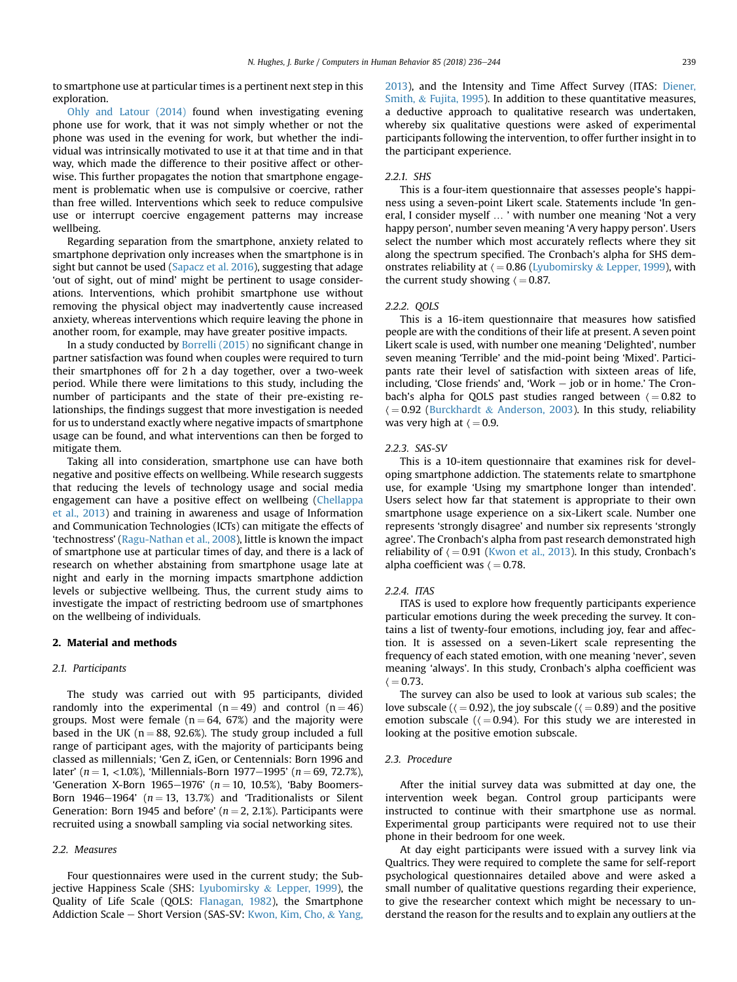to smartphone use at particular times is a pertinent next step in this exploration.

[Ohly and Latour \(2014\)](#page-7-0) found when investigating evening phone use for work, that it was not simply whether or not the phone was used in the evening for work, but whether the individual was intrinsically motivated to use it at that time and in that way, which made the difference to their positive affect or otherwise. This further propagates the notion that smartphone engagement is problematic when use is compulsive or coercive, rather than free willed. Interventions which seek to reduce compulsive use or interrupt coercive engagement patterns may increase wellbeing.

Regarding separation from the smartphone, anxiety related to smartphone deprivation only increases when the smartphone is in sight but cannot be used [\(Sapacz et al. 2016](#page-7-0)), suggesting that adage 'out of sight, out of mind' might be pertinent to usage considerations. Interventions, which prohibit smartphone use without removing the physical object may inadvertently cause increased anxiety, whereas interventions which require leaving the phone in another room, for example, may have greater positive impacts.

In a study conducted by [Borrelli \(2015\)](#page-7-0) no significant change in partner satisfaction was found when couples were required to turn their smartphones off for 2 h a day together, over a two-week period. While there were limitations to this study, including the number of participants and the state of their pre-existing relationships, the findings suggest that more investigation is needed for us to understand exactly where negative impacts of smartphone usage can be found, and what interventions can then be forged to mitigate them.

Taking all into consideration, smartphone use can have both negative and positive effects on wellbeing. While research suggests that reducing the levels of technology usage and social media engagement can have a positive effect on wellbeing [\(Chellappa](#page-7-0) [et al., 2013](#page-7-0)) and training in awareness and usage of Information and Communication Technologies (ICTs) can mitigate the effects of 'technostress' ([Ragu-Nathan et al., 2008\)](#page-7-0), little is known the impact of smartphone use at particular times of day, and there is a lack of research on whether abstaining from smartphone usage late at night and early in the morning impacts smartphone addiction levels or subjective wellbeing. Thus, the current study aims to investigate the impact of restricting bedroom use of smartphones on the wellbeing of individuals.

#### 2. Material and methods

#### 2.1. Participants

The study was carried out with 95 participants, divided randomly into the experimental  $(n = 49)$  and control  $(n = 46)$ groups. Most were female ( $n = 64$ , 67%) and the majority were based in the UK ( $n = 88$ , 92.6%). The study group included a full range of participant ages, with the majority of participants being classed as millennials; 'Gen Z, iGen, or Centennials: Born 1996 and later' (n = 1, <1.0%), 'Millennials-Born 1977–1995' (n = 69, 72.7%), 'Generation X-Born 1965-1976' ( $n = 10$ , 10.5%), 'Baby Boomers-Born 1946–1964' ( $n = 13, 13.7\%$ ) and 'Traditionalists or Silent Generation: Born 1945 and before' ( $n = 2, 2.1\%$ ). Participants were recruited using a snowball sampling via social networking sites.

#### 2.2. Measures

Four questionnaires were used in the current study; the Sub-jective Happiness Scale (SHS: [Lyubomirsky](#page-7-0) & [Lepper, 1999\)](#page-7-0), the Quality of Life Scale (QOLS: [Flanagan, 1982\)](#page-7-0), the Smartphone Addiction Scale – Short Version (SAS-SV: [Kwon, Kim, Cho,](#page-7-0) & [Yang,](#page-7-0) [2013\)](#page-7-0), and the Intensity and Time Affect Survey (ITAS: [Diener,](#page-7-0) [Smith,](#page-7-0) & [Fujita, 1995](#page-7-0)). In addition to these quantitative measures, a deductive approach to qualitative research was undertaken, whereby six qualitative questions were asked of experimental participants following the intervention, to offer further insight in to the participant experience.

#### 2.2.1. SHS

This is a four-item questionnaire that assesses people's happiness using a seven-point Likert scale. Statements include 'In general, I consider myself … ' with number one meaning 'Not a very happy person', number seven meaning 'A very happy person'. Users select the number which most accurately reflects where they sit along the spectrum specified. The Cronbach's alpha for SHS demonstrates reliability at  $\langle =0.86$  ([Lyubomirsky](#page-7-0) & [Lepper, 1999\)](#page-7-0), with the current study showing  $\zeta = 0.87$ .

#### 2.2.2. QOLS

This is a 16-item questionnaire that measures how satisfied people are with the conditions of their life at present. A seven point Likert scale is used, with number one meaning 'Delighted', number seven meaning 'Terrible' and the mid-point being 'Mixed'. Participants rate their level of satisfaction with sixteen areas of life, including, 'Close friends' and, 'Work  $-$  job or in home.' The Cronbach's alpha for QOLS past studies ranged between  $\zeta = 0.82$  to  $\zeta = 0.92$  [\(Burckhardt](#page-7-0) & [Anderson, 2003](#page-7-0)). In this study, reliability was very high at  $\langle =0.9$ .

#### 2.2.3. SAS-SV

This is a 10-item questionnaire that examines risk for developing smartphone addiction. The statements relate to smartphone use, for example 'Using my smartphone longer than intended'. Users select how far that statement is appropriate to their own smartphone usage experience on a six-Likert scale. Number one represents 'strongly disagree' and number six represents 'strongly agree'. The Cronbach's alpha from past research demonstrated high reliability of  $\zeta = 0.91$  ([Kwon et al., 2013](#page-7-0)). In this study, Cronbach's alpha coefficient was  $\langle =0.78$ .

#### 2.2.4. ITAS

ITAS is used to explore how frequently participants experience particular emotions during the week preceding the survey. It contains a list of twenty-four emotions, including joy, fear and affection. It is assessed on a seven-Likert scale representing the frequency of each stated emotion, with one meaning 'never', seven meaning 'always'. In this study, Cronbach's alpha coefficient was  $\langle = 0.73.$ 

The survey can also be used to look at various sub scales; the love subscale ( $\zeta = 0.92$ ), the joy subscale ( $\zeta = 0.89$ ) and the positive emotion subscale ( $($  = 0.94). For this study we are interested in looking at the positive emotion subscale.

#### 2.3. Procedure

After the initial survey data was submitted at day one, the intervention week began. Control group participants were instructed to continue with their smartphone use as normal. Experimental group participants were required not to use their phone in their bedroom for one week.

At day eight participants were issued with a survey link via Qualtrics. They were required to complete the same for self-report psychological questionnaires detailed above and were asked a small number of qualitative questions regarding their experience, to give the researcher context which might be necessary to understand the reason for the results and to explain any outliers at the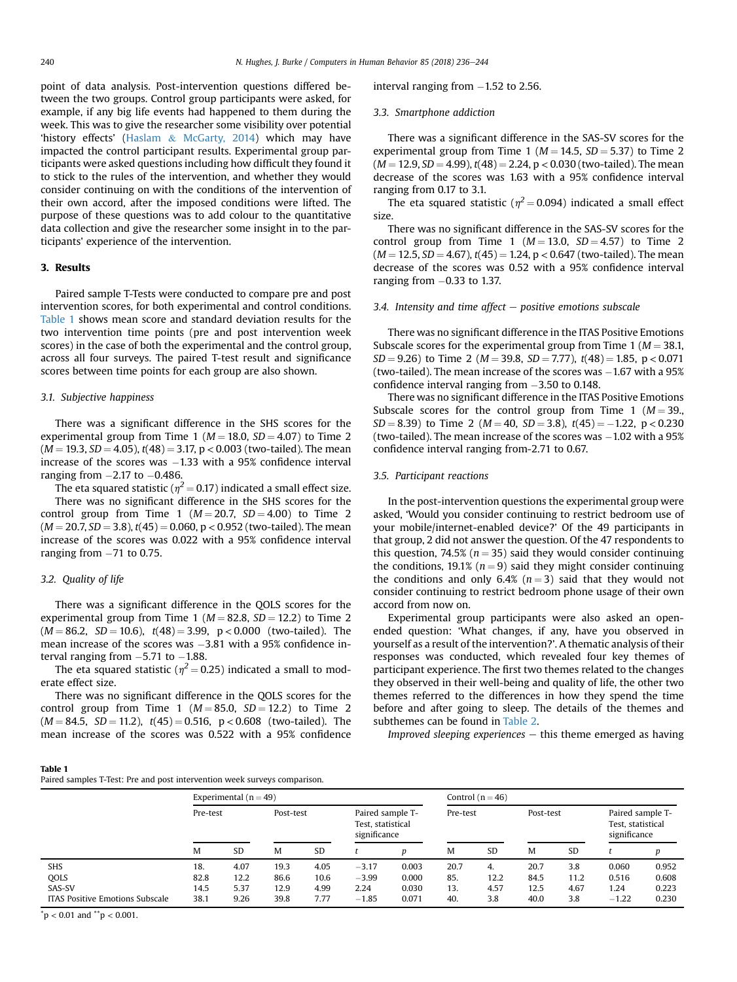point of data analysis. Post-intervention questions differed between the two groups. Control group participants were asked, for example, if any big life events had happened to them during the week. This was to give the researcher some visibility over potential 'history effects' [\(Haslam](#page-7-0) & [McGarty, 2014](#page-7-0)) which may have impacted the control participant results. Experimental group participants were asked questions including how difficult they found it to stick to the rules of the intervention, and whether they would consider continuing on with the conditions of the intervention of their own accord, after the imposed conditions were lifted. The purpose of these questions was to add colour to the quantitative data collection and give the researcher some insight in to the participants' experience of the intervention.

#### 3. Results

Paired sample T-Tests were conducted to compare pre and post intervention scores, for both experimental and control conditions. Table 1 shows mean score and standard deviation results for the two intervention time points (pre and post intervention week scores) in the case of both the experimental and the control group, across all four surveys. The paired T-test result and significance scores between time points for each group are also shown.

#### 3.1. Subjective happiness

There was a significant difference in the SHS scores for the experimental group from Time 1 ( $M = 18.0$ ,  $SD = 4.07$ ) to Time 2  $(M = 19.3, SD = 4.05)$ ,  $t(48) = 3.17$ , p < 0.003 (two-tailed). The mean increase of the scores was  $-1.33$  with a 95% confidence interval ranging from  $-2.17$  to  $-0.486$ .

The eta squared statistic ( $\eta^2$  = 0.17) indicated a small effect size. There was no significant difference in the SHS scores for the control group from Time 1 ( $M = 20.7$ ,  $SD = 4.00$ ) to Time 2  $(M = 20.7, SD = 3.8)$ ,  $t(45) = 0.060$ ,  $p < 0.952$  (two-tailed). The mean increase of the scores was 0.022 with a 95% confidence interval ranging from  $-71$  to 0.75.

#### 3.2. Quality of life

There was a significant difference in the QOLS scores for the experimental group from Time 1 ( $M = 82.8$ ,  $SD = 12.2$ ) to Time 2  $(M = 86.2, SD = 10.6), t(48) = 3.99, p < 0.000$  (two-tailed). The mean increase of the scores was  $-3.81$  with a 95% confidence interval ranging from  $-5.71$  to  $-1.88$ .

The eta squared statistic ( $\eta^2$  = 0.25) indicated a small to moderate effect size.

There was no significant difference in the QOLS scores for the control group from Time 1 ( $M = 85.0$ ,  $SD = 12.2$ ) to Time 2  $(M = 84.5, SD = 11.2), t(45) = 0.516, p < 0.608$  (two-tailed). The mean increase of the scores was 0.522 with a 95% confidence  $interval$  ranging from  $-1.52$  to 2.56.

### 3.3. Smartphone addiction

There was a significant difference in the SAS-SV scores for the experimental group from Time 1 ( $M = 14.5$ ,  $SD = 5.37$ ) to Time 2.  $(M = 12.9, SD = 4.99)$ ,  $t(48) = 2.24$ ,  $p < 0.030$  (two-tailed). The mean decrease of the scores was 1.63 with a 95% confidence interval ranging from 0.17 to 3.1.

The eta squared statistic ( $\eta^2$  = 0.094) indicated a small effect size.

There was no significant difference in the SAS-SV scores for the control group from Time 1 ( $M = 13.0$ ,  $SD = 4.57$ ) to Time 2  $(M = 12.5, SD = 4.67)$ ,  $t(45) = 1.24$ ,  $p < 0.647$  (two-tailed). The mean decrease of the scores was 0.52 with a 95% confidence interval ranging from  $-0.33$  to 1.37.

#### 3.4. Intensity and time affect  $-$  positive emotions subscale

There was no significant difference in the ITAS Positive Emotions Subscale scores for the experimental group from Time 1 ( $M = 38.1$ ,  $SD = 9.26$ ) to Time 2 (*M* = 39.8, *SD* = 7.77),  $t(48) = 1.85$ , p < 0.071 (two-tailed). The mean increase of the scores was  $-1.67$  with a  $95\%$ confidence interval ranging from -3.50 to 0.148.

There was no significant difference in the ITAS Positive Emotions Subscale scores for the control group from Time 1 ( $M = 39$ .,  $SD = 8.39$ ) to Time 2 ( $M = 40$ ,  $SD = 3.8$ ),  $t(45) = -1.22$ ,  $p < 0.230$ (two-tailed). The mean increase of the scores was  $-1.02$  with a 95% confidence interval ranging from-2.71 to 0.67.

#### 3.5. Participant reactions

In the post-intervention questions the experimental group were asked, 'Would you consider continuing to restrict bedroom use of your mobile/internet-enabled device?' Of the 49 participants in that group, 2 did not answer the question. Of the 47 respondents to this question, 74.5% ( $n = 35$ ) said they would consider continuing the conditions, 19.1% ( $n = 9$ ) said they might consider continuing the conditions and only 6.4%  $(n=3)$  said that they would not consider continuing to restrict bedroom phone usage of their own accord from now on.

Experimental group participants were also asked an openended question: 'What changes, if any, have you observed in yourself as a result of the intervention?'. A thematic analysis of their responses was conducted, which revealed four key themes of participant experience. The first two themes related to the changes they observed in their well-being and quality of life, the other two themes referred to the differences in how they spend the time before and after going to sleep. The details of the themes and subthemes can be found in [Table 2.](#page-5-0)

Improved sleeping experiences  $-$  this theme emerged as having

| . .<br>× | . .<br>۰. |  |
|----------|-----------|--|
|          |           |  |

Paired samples T-Test: Pre and post intervention week surveys comparison.

|                                        | Experimental $(n = 49)$ |      |           |           |                                                       | Control $(n = 46)$ |          |           |           |      |                                                       |       |
|----------------------------------------|-------------------------|------|-----------|-----------|-------------------------------------------------------|--------------------|----------|-----------|-----------|------|-------------------------------------------------------|-------|
|                                        | Pre-test                |      | Post-test |           | Paired sample T-<br>Test. statistical<br>significance |                    | Pre-test |           | Post-test |      | Paired sample T-<br>Test, statistical<br>significance |       |
|                                        | M                       | SD   | M         | <b>SD</b> |                                                       | n                  | M        | <b>SD</b> | M         | SD   |                                                       | Ď     |
| <b>SHS</b>                             | 18.                     | 4.07 | 19.3      | 4.05      | $-3.17$                                               | 0.003              | 20.7     | 4.        | 20.7      | 3.8  | 0.060                                                 | 0.952 |
| <b>QOLS</b>                            | 82.8                    | 12.2 | 86.6      | 10.6      | $-3.99$                                               | 0.000              | 85.      | 12.2      | 84.5      | 11.2 | 0.516                                                 | 0.608 |
| SAS-SV                                 | 14.5                    | 5.37 | 12.9      | 4.99      | 2.24                                                  | 0.030              | 13.      | 4.57      | 12.5      | 4.67 | 1.24                                                  | 0.223 |
| <b>ITAS Positive Emotions Subscale</b> | 38.1                    | 9.26 | 39.8      | 7.77      | $-1.85$                                               | 0.071              | 40.      | 3.8       | 40.0      | 3.8  | $-1.22$                                               | 0.230 |

 $p < 0.01$  and  $p < 0.001$ .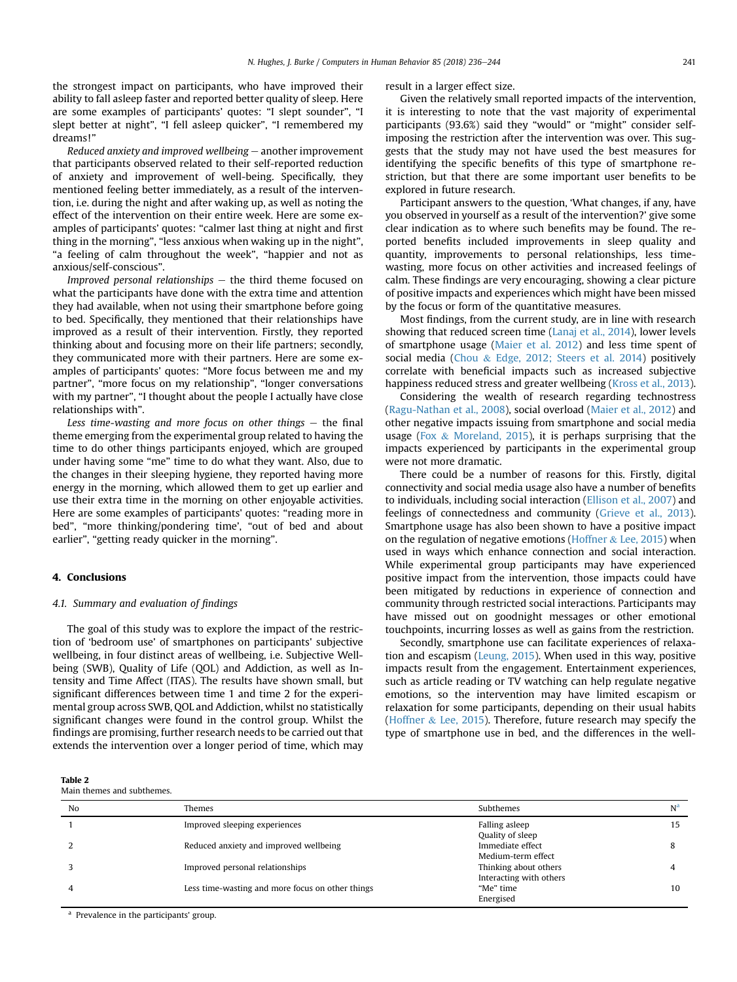<span id="page-5-0"></span>the strongest impact on participants, who have improved their ability to fall asleep faster and reported better quality of sleep. Here are some examples of participants' quotes: "I slept sounder", "I slept better at night", "I fell asleep quicker", "I remembered my dreams!"

Reduced anxiety and improved wellbeing  $-$  another improvement that participants observed related to their self-reported reduction of anxiety and improvement of well-being. Specifically, they mentioned feeling better immediately, as a result of the intervention, i.e. during the night and after waking up, as well as noting the effect of the intervention on their entire week. Here are some examples of participants' quotes: "calmer last thing at night and first thing in the morning", "less anxious when waking up in the night", "a feeling of calm throughout the week", "happier and not as anxious/self-conscious".

Improved personal relationships  $-$  the third theme focused on what the participants have done with the extra time and attention they had available, when not using their smartphone before going to bed. Specifically, they mentioned that their relationships have improved as a result of their intervention. Firstly, they reported thinking about and focusing more on their life partners; secondly, they communicated more with their partners. Here are some examples of participants' quotes: "More focus between me and my partner", "more focus on my relationship", "longer conversations with my partner", "I thought about the people I actually have close relationships with".

Less time-wasting and more focus on other things  $-$  the final theme emerging from the experimental group related to having the time to do other things participants enjoyed, which are grouped under having some "me" time to do what they want. Also, due to the changes in their sleeping hygiene, they reported having more energy in the morning, which allowed them to get up earlier and use their extra time in the morning on other enjoyable activities. Here are some examples of participants' quotes: "reading more in bed", "more thinking/pondering time', "out of bed and about earlier", "getting ready quicker in the morning".

#### 4. Conclusions

#### 4.1. Summary and evaluation of findings

The goal of this study was to explore the impact of the restriction of 'bedroom use' of smartphones on participants' subjective wellbeing, in four distinct areas of wellbeing, i.e. Subjective Wellbeing (SWB), Quality of Life (QOL) and Addiction, as well as Intensity and Time Affect (ITAS). The results have shown small, but significant differences between time 1 and time 2 for the experimental group across SWB, QOL and Addiction, whilst no statistically significant changes were found in the control group. Whilst the findings are promising, further research needs to be carried out that extends the intervention over a longer period of time, which may

| Table 2 |  |                            |
|---------|--|----------------------------|
|         |  | Main themes and subthemes. |

 $T<sub>1</sub>$ 

result in a larger effect size.

Given the relatively small reported impacts of the intervention, it is interesting to note that the vast majority of experimental participants (93.6%) said they "would" or "might" consider selfimposing the restriction after the intervention was over. This suggests that the study may not have used the best measures for identifying the specific benefits of this type of smartphone restriction, but that there are some important user benefits to be explored in future research.

Participant answers to the question, 'What changes, if any, have you observed in yourself as a result of the intervention?' give some clear indication as to where such benefits may be found. The reported benefits included improvements in sleep quality and quantity, improvements to personal relationships, less timewasting, more focus on other activities and increased feelings of calm. These findings are very encouraging, showing a clear picture of positive impacts and experiences which might have been missed by the focus or form of the quantitative measures.

Most findings, from the current study, are in line with research showing that reduced screen time ([Lanaj et al., 2014\)](#page-7-0), lower levels of smartphone usage [\(Maier et al. 2012](#page-7-0)) and less time spent of social media [\(Chou](#page-7-0) & [Edge, 2012; Steers et al. 2014](#page-7-0)) positively correlate with beneficial impacts such as increased subjective happiness reduced stress and greater wellbeing ([Kross et al., 2013\)](#page-7-0).

Considering the wealth of research regarding technostress ([Ragu-Nathan et al., 2008](#page-7-0)), social overload ([Maier et al., 2012\)](#page-7-0) and other negative impacts issuing from smartphone and social media usage ([Fox](#page-7-0) & [Moreland, 2015](#page-7-0)), it is perhaps surprising that the impacts experienced by participants in the experimental group were not more dramatic.

There could be a number of reasons for this. Firstly, digital connectivity and social media usage also have a number of benefits to individuals, including social interaction [\(Ellison et al., 2007](#page-7-0)) and feelings of connectedness and community ([Grieve et al., 2013\)](#page-7-0). Smartphone usage has also been shown to have a positive impact on the regulation of negative emotions [\(Hoffner](#page-7-0)  $&$  [Lee, 2015](#page-7-0)) when used in ways which enhance connection and social interaction. While experimental group participants may have experienced positive impact from the intervention, those impacts could have been mitigated by reductions in experience of connection and community through restricted social interactions. Participants may have missed out on goodnight messages or other emotional touchpoints, incurring losses as well as gains from the restriction.

Secondly, smartphone use can facilitate experiences of relaxation and escapism ([Leung, 2015](#page-7-0)). When used in this way, positive impacts result from the engagement. Entertainment experiences, such as article reading or TV watching can help regulate negative emotions, so the intervention may have limited escapism or relaxation for some participants, depending on their usual habits ([Hoffner](#page-7-0) & [Lee, 2015\)](#page-7-0). Therefore, future research may specify the type of smartphone use in bed, and the differences in the well-

| No | Themes                                           | Subthemes                                        | N <sup>a</sup> |
|----|--------------------------------------------------|--------------------------------------------------|----------------|
|    | Improved sleeping experiences                    | Falling asleep<br>Quality of sleep               | 15             |
|    | Reduced anxiety and improved wellbeing           | Immediate effect<br>Medium-term effect           | 8              |
|    | Improved personal relationships                  | Thinking about others<br>Interacting with others |                |
|    | Less time-wasting and more focus on other things | "Me" time<br>Energised                           | 10             |

<sup>a</sup> Prevalence in the participants' group.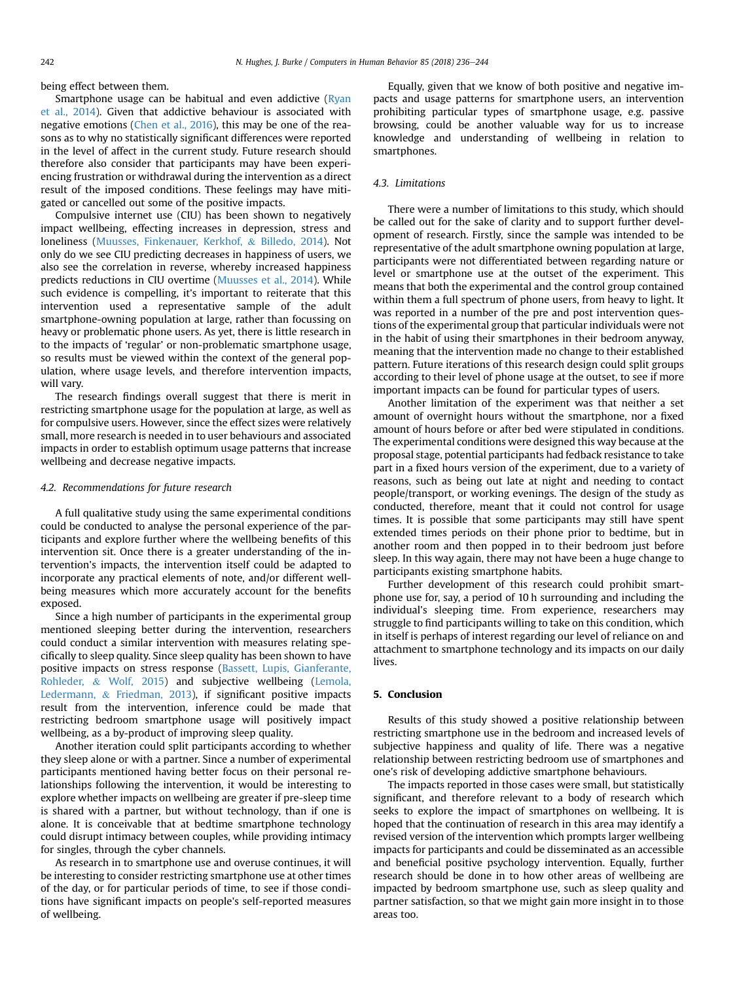being effect between them.

Smartphone usage can be habitual and even addictive [\(Ryan](#page-7-0) [et al., 2014](#page-7-0)). Given that addictive behaviour is associated with negative emotions ([Chen et al., 2016\)](#page-7-0), this may be one of the reasons as to why no statistically significant differences were reported in the level of affect in the current study. Future research should therefore also consider that participants may have been experiencing frustration or withdrawal during the intervention as a direct result of the imposed conditions. These feelings may have mitigated or cancelled out some of the positive impacts.

Compulsive internet use (CIU) has been shown to negatively impact wellbeing, effecting increases in depression, stress and loneliness ([Muusses, Finkenauer, Kerkhof,](#page-7-0) & [Billedo, 2014](#page-7-0)). Not only do we see CIU predicting decreases in happiness of users, we also see the correlation in reverse, whereby increased happiness predicts reductions in CIU overtime ([Muusses et al., 2014](#page-7-0)). While such evidence is compelling, it's important to reiterate that this intervention used a representative sample of the adult smartphone-owning population at large, rather than focussing on heavy or problematic phone users. As yet, there is little research in to the impacts of 'regular' or non-problematic smartphone usage, so results must be viewed within the context of the general population, where usage levels, and therefore intervention impacts, will vary.

The research findings overall suggest that there is merit in restricting smartphone usage for the population at large, as well as for compulsive users. However, since the effect sizes were relatively small, more research is needed in to user behaviours and associated impacts in order to establish optimum usage patterns that increase wellbeing and decrease negative impacts.

#### 4.2. Recommendations for future research

A full qualitative study using the same experimental conditions could be conducted to analyse the personal experience of the participants and explore further where the wellbeing benefits of this intervention sit. Once there is a greater understanding of the intervention's impacts, the intervention itself could be adapted to incorporate any practical elements of note, and/or different wellbeing measures which more accurately account for the benefits exposed.

Since a high number of participants in the experimental group mentioned sleeping better during the intervention, researchers could conduct a similar intervention with measures relating specifically to sleep quality. Since sleep quality has been shown to have positive impacts on stress response ([Bassett, Lupis, Gianferante,](#page-7-0) [Rohleder,](#page-7-0) & [Wolf, 2015\)](#page-7-0) and subjective wellbeing ([Lemola,](#page-7-0) [Ledermann,](#page-7-0) & [Friedman, 2013\)](#page-7-0), if significant positive impacts result from the intervention, inference could be made that restricting bedroom smartphone usage will positively impact wellbeing, as a by-product of improving sleep quality.

Another iteration could split participants according to whether they sleep alone or with a partner. Since a number of experimental participants mentioned having better focus on their personal relationships following the intervention, it would be interesting to explore whether impacts on wellbeing are greater if pre-sleep time is shared with a partner, but without technology, than if one is alone. It is conceivable that at bedtime smartphone technology could disrupt intimacy between couples, while providing intimacy for singles, through the cyber channels.

As research in to smartphone use and overuse continues, it will be interesting to consider restricting smartphone use at other times of the day, or for particular periods of time, to see if those conditions have significant impacts on people's self-reported measures of wellbeing.

Equally, given that we know of both positive and negative impacts and usage patterns for smartphone users, an intervention prohibiting particular types of smartphone usage, e.g. passive browsing, could be another valuable way for us to increase knowledge and understanding of wellbeing in relation to smartphones.

#### 4.3. Limitations

There were a number of limitations to this study, which should be called out for the sake of clarity and to support further development of research. Firstly, since the sample was intended to be representative of the adult smartphone owning population at large, participants were not differentiated between regarding nature or level or smartphone use at the outset of the experiment. This means that both the experimental and the control group contained within them a full spectrum of phone users, from heavy to light. It was reported in a number of the pre and post intervention questions of the experimental group that particular individuals were not in the habit of using their smartphones in their bedroom anyway, meaning that the intervention made no change to their established pattern. Future iterations of this research design could split groups according to their level of phone usage at the outset, to see if more important impacts can be found for particular types of users.

Another limitation of the experiment was that neither a set amount of overnight hours without the smartphone, nor a fixed amount of hours before or after bed were stipulated in conditions. The experimental conditions were designed this way because at the proposal stage, potential participants had fedback resistance to take part in a fixed hours version of the experiment, due to a variety of reasons, such as being out late at night and needing to contact people/transport, or working evenings. The design of the study as conducted, therefore, meant that it could not control for usage times. It is possible that some participants may still have spent extended times periods on their phone prior to bedtime, but in another room and then popped in to their bedroom just before sleep. In this way again, there may not have been a huge change to participants existing smartphone habits.

Further development of this research could prohibit smartphone use for, say, a period of 10 h surrounding and including the individual's sleeping time. From experience, researchers may struggle to find participants willing to take on this condition, which in itself is perhaps of interest regarding our level of reliance on and attachment to smartphone technology and its impacts on our daily lives.

### 5. Conclusion

Results of this study showed a positive relationship between restricting smartphone use in the bedroom and increased levels of subjective happiness and quality of life. There was a negative relationship between restricting bedroom use of smartphones and one's risk of developing addictive smartphone behaviours.

The impacts reported in those cases were small, but statistically significant, and therefore relevant to a body of research which seeks to explore the impact of smartphones on wellbeing. It is hoped that the continuation of research in this area may identify a revised version of the intervention which prompts larger wellbeing impacts for participants and could be disseminated as an accessible and beneficial positive psychology intervention. Equally, further research should be done in to how other areas of wellbeing are impacted by bedroom smartphone use, such as sleep quality and partner satisfaction, so that we might gain more insight in to those areas too.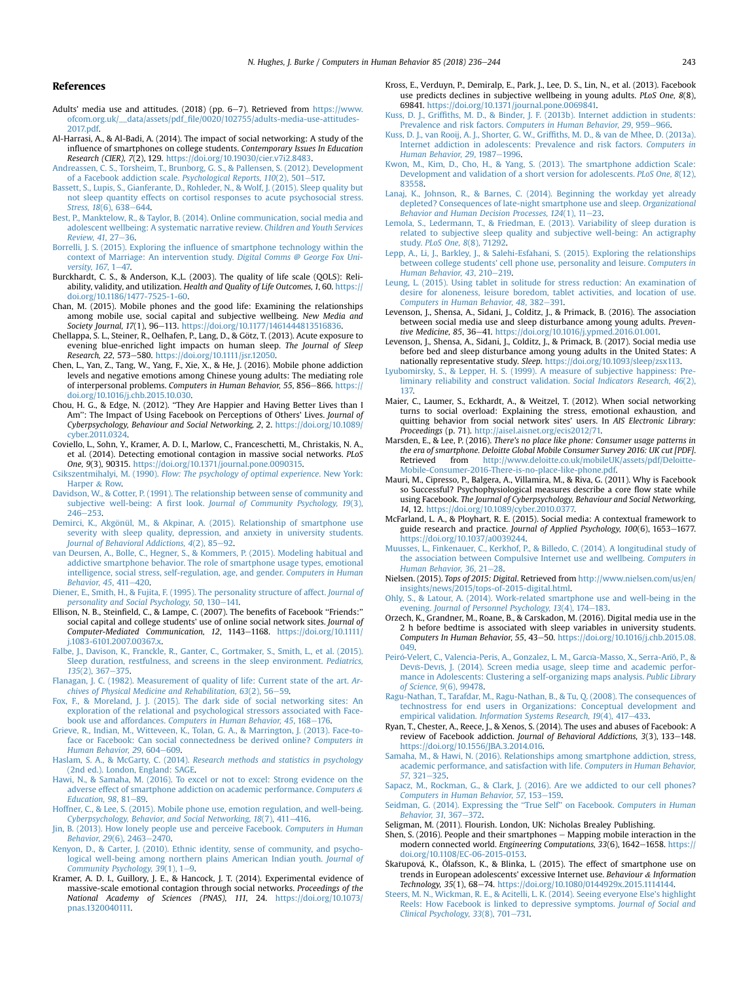#### <span id="page-7-0"></span>References

- Adults' media use and attitudes. (2018) (pp. 6-7). Retrieved from [https://www.](https://www.ofcom.org.uk/__data/assets/pdf_file/0020/102755/adults-media-use-attitudes-2017.pdf) ofcom.org.uk/\_\_data/assets/pdf\_fi[le/0020/102755/adults-media-use-attitudes-](https://www.ofcom.org.uk/__data/assets/pdf_file/0020/102755/adults-media-use-attitudes-2017.pdf)[2017.pdf.](https://www.ofcom.org.uk/__data/assets/pdf_file/0020/102755/adults-media-use-attitudes-2017.pdf)
- Al-Harrasi, A., & Al-Badi, A. (2014). The impact of social networking: A study of the influence of smartphones on college students. Contemporary Issues In Education Research (CIER), 7(2), 129. <https://doi.org/10.19030/cier.v7i2.8483>.
- [Andreassen, C. S., Torsheim, T., Brunborg, G. S., & Pallensen, S. \(2012\). Development](http://refhub.elsevier.com/S0747-5632(18)30152-3/sr0015) [of a Facebook addiction scale.](http://refhub.elsevier.com/S0747-5632(18)30152-3/sr0015) Psychological Reports,  $110(2)$ ,  $501-517$ .
- [Bassett, S., Lupis, S., Gianferante, D., Rohleder, N., & Wolf, J. \(2015\). Sleep quality but](http://refhub.elsevier.com/S0747-5632(18)30152-3/sref4) [not sleep quantity effects on cortisol responses to acute psychosocial stress.](http://refhub.elsevier.com/S0747-5632(18)30152-3/sref4) Stress,  $18(6)$ ,  $638-644$  $638-644$ .
- [Best, P., Manktelow, R., & Taylor, B. \(2014\). Online communication, social media and](http://refhub.elsevier.com/S0747-5632(18)30152-3/sref5) [adolescent wellbeing: A systematic narrative review.](http://refhub.elsevier.com/S0747-5632(18)30152-3/sref5) Children and Youth Services [Review, 41](http://refhub.elsevier.com/S0747-5632(18)30152-3/sref5), 27-[36.](http://refhub.elsevier.com/S0747-5632(18)30152-3/sref5)
- Borrelli, J. S. (2015). Exploring the infl[uence of smartphone technology within the](http://refhub.elsevier.com/S0747-5632(18)30152-3/sref6) [context of Marriage: An intervention study.](http://refhub.elsevier.com/S0747-5632(18)30152-3/sref6) Digital Comms @ George Fox University,  $167.1 - 47$
- Burckhardt, C. S., & Anderson, K.,L. (2003). The quality of life scale (QOLS): Reliability, validity, and utilization. Health and Quality of Life Outcomes, 1, 60. [https://](https://doi.org/10.1186/1477-7525-1-60) [doi.org/10.1186/1477-7525-1-60](https://doi.org/10.1186/1477-7525-1-60).
- Chan, M. (2015). Mobile phones and the good life: Examining the relationships among mobile use, social capital and subjective wellbeing. New Media and Society Journal, 17(1), 96-113. [https://doi.org/10.1177/1461444813516836.](https://doi.org/10.1177/1461444813516836)
- Chellappa, S. L., Steiner, R., Oelhafen, P., Lang, D., & Götz, T. (2013). Acute exposure to evening blue-enriched light impacts on human sleep. The Journal of Sleep Research, 22, 573-580. <https://doi.org/10.1111/jsr.12050>.
- Chen, L., Yan, Z., Tang, W., Yang, F., Xie, X., & He, J. (2016). Mobile phone addiction levels and negative emotions among Chinese young adults: The mediating role of interpersonal problems. Computers in Human Behavior, 55, 856-866. [https://](https://doi.org/10.1016/j.chb.2015.10.030) [doi.org/10.1016/j.chb.2015.10.030](https://doi.org/10.1016/j.chb.2015.10.030).
- Chou, H. G., & Edge, N. (2012). ''They Are Happier and Having Better Lives than I Am'': The Impact of Using Facebook on Perceptions of Others' Lives. Journal of Cyberpsychology, Behaviour and Social Networking, 2, 2. [https://doi.org/10.1089/](https://doi.org/10.1089/cyber.2011.0324) [cyber.2011.0324.](https://doi.org/10.1089/cyber.2011.0324)
- Coviello, L., Sohn, Y., Kramer, A. D. I., Marlow, C., Franceschetti, M., Christakis, N. A., et al. (2014). Detecting emotional contagion in massive social networks. PLoS One, 9(3), 90315. <https://doi.org/10.1371/journal.pone.0090315>.
- Csikszentmihalyi, M. (1990). [Flow: The psychology of optimal experience](http://refhub.elsevier.com/S0747-5632(18)30152-3/sref14). New York: [Harper](http://refhub.elsevier.com/S0747-5632(18)30152-3/sref14) & [Row](http://refhub.elsevier.com/S0747-5632(18)30152-3/sref14).
- [Davidson, W., & Cotter, P. \(1991\). The relationship between sense of community and](http://refhub.elsevier.com/S0747-5632(18)30152-3/sref15) subjective well-being: A first look. [Journal of Community Psychology, 19](http://refhub.elsevier.com/S0747-5632(18)30152-3/sref15)(3),  $246 - 253$  $246 - 253$  $246 - 253$ .
- [Demirci, K., Akg](http://refhub.elsevier.com/S0747-5632(18)30152-3/sref16)ö[nül, M., & Akpinar, A. \(2015\). Relationship of smartphone use](http://refhub.elsevier.com/S0747-5632(18)30152-3/sref16) [severity with sleep quality, depression, and anxiety in university students.](http://refhub.elsevier.com/S0747-5632(18)30152-3/sref16) [Journal of Behavioral Addictions, 4](http://refhub.elsevier.com/S0747-5632(18)30152-3/sref16)(2), 85-[92](http://refhub.elsevier.com/S0747-5632(18)30152-3/sref16).
- [van Deursen, A., Bolle, C., Hegner, S., & Kommers, P. \(2015\). Modeling habitual and](http://refhub.elsevier.com/S0747-5632(18)30152-3/sref17) [addictive smartphone behavior. The role of smartphone usage types, emotional](http://refhub.elsevier.com/S0747-5632(18)30152-3/sref17) [intelligence, social stress, self-regulation, age, and gender.](http://refhub.elsevier.com/S0747-5632(18)30152-3/sref17) Computers in Human [Behavior, 45](http://refhub.elsevier.com/S0747-5632(18)30152-3/sref17), 411-[420.](http://refhub.elsevier.com/S0747-5632(18)30152-3/sref17)
- [Diener, E., Smith, H., & Fujita, F. \(1995\). The personality structure of affect.](http://refhub.elsevier.com/S0747-5632(18)30152-3/sref18) Journal of [personality and Social Psychology, 50](http://refhub.elsevier.com/S0747-5632(18)30152-3/sref18), 130-[141.](http://refhub.elsevier.com/S0747-5632(18)30152-3/sref18)
- Ellison, N. B., Steinfield, C., & Lampe, C. (2007). The benefits of Facebook ''Friends:'' social capital and college students' use of online social network sites. Journal of Computer-Mediated Communication, 12, 1143-1168. [https://doi.org/10.1111/](https://doi.org/10.1111/j.1083-6101.2007.00367.x) [j.1083-6101.2007.00367.x](https://doi.org/10.1111/j.1083-6101.2007.00367.x).
- [Falbe, J., Davison, K., Franckle, R., Ganter, C., Gortmaker, S., Smith, L., et al. \(2015\).](http://refhub.elsevier.com/S0747-5632(18)30152-3/sref20) [Sleep duration, restfulness, and screens in the sleep environment.](http://refhub.elsevier.com/S0747-5632(18)30152-3/sref20) Pediatrics,  $135(2)$ , 367-[375.](http://refhub.elsevier.com/S0747-5632(18)30152-3/sref20)
- [Flanagan, J. C. \(1982\). Measurement of quality of life: Current state of the art.](http://refhub.elsevier.com/S0747-5632(18)30152-3/sref21) Archives of Physical Medicine and Rehabilitation,  $63(2)$ ,  $56-59$  $56-59$ .
- [Fox, F., & Moreland, J. J. \(2015\). The dark side of social networking sites: An](http://refhub.elsevier.com/S0747-5632(18)30152-3/sref22) [exploration of the relational and psychological stressors associated with Face-](http://refhub.elsevier.com/S0747-5632(18)30152-3/sref22)book use and affordances. [Computers in Human Behavior, 45](http://refhub.elsevier.com/S0747-5632(18)30152-3/sref22), 168-[176.](http://refhub.elsevier.com/S0747-5632(18)30152-3/sref22)
- [Grieve, R., Indian, M., Witteveen, K., Tolan, G. A., & Marrington, J. \(2013\). Face-to](http://refhub.elsevier.com/S0747-5632(18)30152-3/sref24)[face or Facebook: Can social connectedness be derived online?](http://refhub.elsevier.com/S0747-5632(18)30152-3/sref24) Computers in [Human Behavior, 29](http://refhub.elsevier.com/S0747-5632(18)30152-3/sref24), 604-[609.](http://refhub.elsevier.com/S0747-5632(18)30152-3/sref24)
- Haslam, S. A., & McGarty, C. (2014). [Research methods and statistics in psychology](http://refhub.elsevier.com/S0747-5632(18)30152-3/sr0025) [\(2nd ed.\). London, England: SAGE](http://refhub.elsevier.com/S0747-5632(18)30152-3/sr0025).
- [Hawi, N., & Samaha, M. \(2016\). To excel or not to excel: Strong evidence on the](http://refhub.elsevier.com/S0747-5632(18)30152-3/sref25) [adverse effect of smartphone addiction on academic performance.](http://refhub.elsevier.com/S0747-5632(18)30152-3/sref25) Computers & Education,  $98, 81-89$ .
- [Hoffner, C., & Lee, S. \(2015\). Mobile phone use, emotion regulation, and well-being.](http://refhub.elsevier.com/S0747-5632(18)30152-3/sref26) [Cyberpsychology, Behavior, and Social Networking, 18](http://refhub.elsevier.com/S0747-5632(18)30152-3/sref26)(7), 411-[416.](http://refhub.elsevier.com/S0747-5632(18)30152-3/sref26)
- [Jin, B. \(2013\). How lonely people use and perceive Facebook.](http://refhub.elsevier.com/S0747-5632(18)30152-3/sref27) Computers in Human [Behavior, 29](http://refhub.elsevier.com/S0747-5632(18)30152-3/sref27)(6), 2463-[2470.](http://refhub.elsevier.com/S0747-5632(18)30152-3/sref27)
- [Kenyon, D., & Carter, J. \(2010\). Ethnic identity, sense of community, and psycho](http://refhub.elsevier.com/S0747-5632(18)30152-3/sref28)[logical well-being among northern plains American Indian youth.](http://refhub.elsevier.com/S0747-5632(18)30152-3/sref28) Journal of Community Psychology,  $39(1)$  $39(1)$  $39(1)$ ,  $1-9$ .
- Kramer, A. D. I., Guillory, J. E., & Hancock, J. T. (2014). Experimental evidence of massive-scale emotional contagion through social networks. Proceedings of the National Academy of Sciences (PNAS), 111, 24. [https://doi.org/10.1073/](https://doi.org/10.1073/pnas.1320040111) [pnas.1320040111.](https://doi.org/10.1073/pnas.1320040111)
- Kross, E., Verduyn, P., Demiralp, E., Park, J., Lee, D. S., Lin, N., et al. (2013). Facebook use predicts declines in subjective wellbeing in young adults. PLoS One, 8(8), 69841. [https://doi.org/10.1371/journal.pone.0069841.](https://doi.org/10.1371/journal.pone.0069841)
- Kuss, D. J., Griffi[ths, M. D., & Binder, J. F. \(2013b\). Internet addiction in students:](http://refhub.elsevier.com/S0747-5632(18)30152-3/sref31) Prevalence and risk factors. [Computers in Human Behavior, 29](http://refhub.elsevier.com/S0747-5632(18)30152-3/sref31), 959-[966.](http://refhub.elsevier.com/S0747-5632(18)30152-3/sref31)
- [Kuss, D. J., van Rooij, A. J., Shorter, G. W., Grif](http://refhub.elsevier.com/S0747-5632(18)30152-3/sref32)fiths, M. D., & van de Mhee, D. (2013a). [Internet addiction in adolescents: Prevalence and risk factors.](http://refhub.elsevier.com/S0747-5632(18)30152-3/sref32) Computers in [Human Behavior, 29](http://refhub.elsevier.com/S0747-5632(18)30152-3/sref32), 1987-[1996.](http://refhub.elsevier.com/S0747-5632(18)30152-3/sref32)
- [Kwon, M., Kim, D., Cho, H., & Yang, S. \(2013\). The smartphone addiction Scale:](http://refhub.elsevier.com/S0747-5632(18)30152-3/sref33) [Development and validation of a short version for adolescents.](http://refhub.elsevier.com/S0747-5632(18)30152-3/sref33) PLoS One, 8(12), [83558](http://refhub.elsevier.com/S0747-5632(18)30152-3/sref33).
- [Lanaj, K., Johnson, R., & Barnes, C. \(2014\). Beginning the workday yet already](http://refhub.elsevier.com/S0747-5632(18)30152-3/sref34) [depleted? Consequences of late-night smartphone use and sleep.](http://refhub.elsevier.com/S0747-5632(18)30152-3/sref34) Organizational Behavior and Human Decision Processes,  $124(1)$ ,  $11-23$  $11-23$ .
- [Lemola, S., Ledermann, T., & Friedman, E. \(2013\). Variability of sleep duration is](http://refhub.elsevier.com/S0747-5632(18)30152-3/sref35) [related to subjective sleep quality and subjective well-being: An actigraphy](http://refhub.elsevier.com/S0747-5632(18)30152-3/sref35) study. [PLoS One, 8](http://refhub.elsevier.com/S0747-5632(18)30152-3/sref35)(8), 71292.
- [Lepp, A., Li, J., Barkley, J., & Salehi-Esfahani, S. \(2015\). Exploring the relationships](http://refhub.elsevier.com/S0747-5632(18)30152-3/sref36) [between college students' cell phone use, personality and leisure.](http://refhub.elsevier.com/S0747-5632(18)30152-3/sref36) Computers in Human Behavior,  $43.210 - 219$  $43.210 - 219$ .
- [Leung, L. \(2015\). Using tablet in solitude for stress reduction: An examination of](http://refhub.elsevier.com/S0747-5632(18)30152-3/sref37) [desire for aloneness, leisure boredom, tablet activities, and location of use.](http://refhub.elsevier.com/S0747-5632(18)30152-3/sref37) [Computers in Human Behavior, 48](http://refhub.elsevier.com/S0747-5632(18)30152-3/sref37), 382-[391.](http://refhub.elsevier.com/S0747-5632(18)30152-3/sref37)
- Levenson, J., Shensa, A., Sidani, J., Colditz, J., & Primack, B. (2016). The association between social media use and sleep disturbance among young adults. Preventive Medicine, 85, 36-41. [https://doi.org/10.1016/j.ypmed.2016.01.001.](https://doi.org/10.1016/j.ypmed.2016.01.001)
- Levenson, J., Shensa, A., Sidani, J., Colditz, J., & Primack, B. (2017). Social media use before bed and sleep disturbance among young adults in the United States: A nationally representative study. Sleep. [https://doi.org/10.1093/sleep/zsx113.](https://doi.org/10.1093/sleep/zsx113)
- [Lyubomirsky, S., & Lepper, H. S. \(1999\). A measure of subjective happiness: Pre](http://refhub.elsevier.com/S0747-5632(18)30152-3/sref40)[liminary reliability and construct validation.](http://refhub.elsevier.com/S0747-5632(18)30152-3/sref40) Social Indicators Research, 46(2), [137.](http://refhub.elsevier.com/S0747-5632(18)30152-3/sref40)
- Maier, C., Laumer, S., Eckhardt, A., & Weitzel, T. (2012). When social networking turns to social overload: Explaining the stress, emotional exhaustion, and quitting behavior from social network sites' users. In AIS Electronic Library: Proceedings (p. 71). [http://aisel.aisnet.org/ecis2012/71.](http://aisel.aisnet.org/ecis2012/71)
- Marsden, E., & Lee, P. (2016). There's no place like phone: Consumer usage patterns in the era of smartphone. Deloitte Global Mobile Consumer Survey 2016: UK cut [PDF]. Retrieved from [http://www.deloitte.co.uk/mobileUK/assets/pdf/Deloitte-](http://www.deloitte.co.uk/mobileUK/assets/pdf/Deloitte-Mobile-Consumer-2016-There-is-no-place-like-phone.pdf)[Mobile-Consumer-2016-There-is-no-place-like-phone.pdf.](http://www.deloitte.co.uk/mobileUK/assets/pdf/Deloitte-Mobile-Consumer-2016-There-is-no-place-like-phone.pdf)
- Mauri, M., Cipresso, P., Balgera, A., Villamira, M., & Riva, G. (2011). Why is Facebook so Successful? Psychophysiological measures describe a core flow state while using Facebook. The Journal of Cyberpsychology, Behaviour and Social Networking, 14, 12. [https://doi.org/10.1089/cyber.2010.0377.](https://doi.org/10.1089/cyber.2010.0377)
- McFarland, L. A., & Ployhart, R. E. (2015). Social media: A contextual framework to guide research and practice. Journal of Applied Psychology, 100(6), 1653-1677. [https://doi.org/10.1037/a0039244.](https://doi.org/10.1037/a0039244)
- [Muusses, L., Finkenauer, C., Kerkhof, P., & Billedo, C. \(2014\). A longitudinal study of](http://refhub.elsevier.com/S0747-5632(18)30152-3/sref45) [the association between Compulsive Internet use and wellbeing.](http://refhub.elsevier.com/S0747-5632(18)30152-3/sref45) Computers in [Human Behavior, 36](http://refhub.elsevier.com/S0747-5632(18)30152-3/sref45), 21-[28.](http://refhub.elsevier.com/S0747-5632(18)30152-3/sref45)
- Nielsen. (2015). Tops of 2015: Digital. Retrieved from [http://www.nielsen.com/us/en/](http://www.nielsen.com/us/en/insights/news/2015/tops-of-2015-digital.html) [insights/news/2015/tops-of-2015-digital.html.](http://www.nielsen.com/us/en/insights/news/2015/tops-of-2015-digital.html)
- [Ohly, S., & Latour, A. \(2014\). Work-related smartphone use and well-being in the](http://refhub.elsevier.com/S0747-5632(18)30152-3/sref47) evening. [Journal of Personnel Psychology, 13](http://refhub.elsevier.com/S0747-5632(18)30152-3/sref47)(4), 174-[183.](http://refhub.elsevier.com/S0747-5632(18)30152-3/sref47)
- Orzech, K., Grandner, M., Roane, B., & Carskadon, M. (2016). Digital media use in the 2 h before bedtime is associated with sleep variables in university students. Computers In Human Behavior, 55, 43-50. [https://doi.org/10.1016/j.chb.2015.08.](https://doi.org/10.1016/j.chb.2015.08.049) [049.](https://doi.org/10.1016/j.chb.2015.08.049)<br>Peiró-Velert, C., Valencia-Peris, A., Gonzalez, L. M., García-Masso, X., Serra-Añó, P., & Orzech, K., Grandner, M., Roane, B., & Carskadon, M. (2016). Digital media use in the 2 h before bedtime is associated with sleep variables in university students.<br>
2 h before bedtime is associated with sleep variables in
- [Dev](http://refhub.elsevier.com/S0747-5632(18)30152-3/sref50)i[s-Dev](http://refhub.elsevier.com/S0747-5632(18)30152-3/sref50)i[s, J. \(2014\). Screen media usage, sleep time and academic perfor](http://refhub.elsevier.com/S0747-5632(18)30152-3/sref50)[mance in Adolescents: Clustering a self-organizing maps analysis.](http://refhub.elsevier.com/S0747-5632(18)30152-3/sref50) Public Library [of Science, 9](http://refhub.elsevier.com/S0747-5632(18)30152-3/sref50)(6), 99478.
- [Ragu-Nathan, T., Tarafdar, M., Ragu-Nathan, B., & Tu, Q. \(2008\). The consequences of](http://refhub.elsevier.com/S0747-5632(18)30152-3/sref51) [technostress for end users in Organizations: Conceptual development and](http://refhub.elsevier.com/S0747-5632(18)30152-3/sref51) empirical validation. Information Systems Research,  $19(4)$ ,  $417-433$  $417-433$ .
- Ryan, T., Chester, A., Reece, J., & Xenos, S. (2014). The uses and abuses of Facebook: A review of Facebook addiction. Journal of Behavioral Addictions, 3(3), 133-148. [https://doi.org/10.1556/JBA.3.2014.016.](https://doi.org/10.1556/JBA.3.2014.016)
- [Samaha, M., & Hawi, N. \(2016\). Relationships among smartphone addiction, stress,](http://refhub.elsevier.com/S0747-5632(18)30152-3/sref52) [academic performance, and satisfaction with life.](http://refhub.elsevier.com/S0747-5632(18)30152-3/sref52) Computers in Human Behavior,  $57, 321 - 325.$  $57, 321 - 325.$  $57, 321 - 325.$  $57, 321 - 325.$
- [Sapacz, M., Rockman, G., & Clark, J. \(2016\). Are we addicted to our cell phones?](http://refhub.elsevier.com/S0747-5632(18)30152-3/sref53) [Computers in Human Behavior, 57](http://refhub.elsevier.com/S0747-5632(18)30152-3/sref53), 153-[159.](http://refhub.elsevier.com/S0747-5632(18)30152-3/sref53)
- [Seidman, G. \(2014\). Expressing the](http://refhub.elsevier.com/S0747-5632(18)30152-3/sr0005) "True Self" on Facebook. Computers in Human [Behavior, 31](http://refhub.elsevier.com/S0747-5632(18)30152-3/sr0005), 367-[372.](http://refhub.elsevier.com/S0747-5632(18)30152-3/sr0005)
- Seligman, M. (2011). Flourish. London, UK: Nicholas Brealey Publishing.
- Shen, S. (2016). People and their smartphones  $-$  Mapping mobile interaction in the modern connected world. Engineering Computations,  $33(6)$ ,  $1642-1658$ . [https://](https://doi.org/10.1108/EC-06-2015-0153)<br>doi.org/10.1108/EC-06-2015-0153. [doi.org/10.1108/EC-06-2015-0153.](https://doi.org/10.1108/EC-06-2015-0153) Skarupova, K., Olafsson, K., & Blinka, L. (2015). The effect of smartphone use on
- trends in European adolescents' excessive Internet use. Behaviour & Information Technology, 35(1), 68-74. [https://doi.org/10.1080/0144929x.2015.1114144.](https://doi.org/10.1080/0144929x.2015.1114144)
- [Steers, M. N., Wickman, R. E., & Acitelli, L. K. \(2014\). Seeing everyone Else's highlight](http://refhub.elsevier.com/S0747-5632(18)30152-3/sref56) [Reels: How Facebook is linked to depressive symptoms.](http://refhub.elsevier.com/S0747-5632(18)30152-3/sref56) Journal of Social and Clinical Psychology,  $33(8)$ ,  $701-731$ .